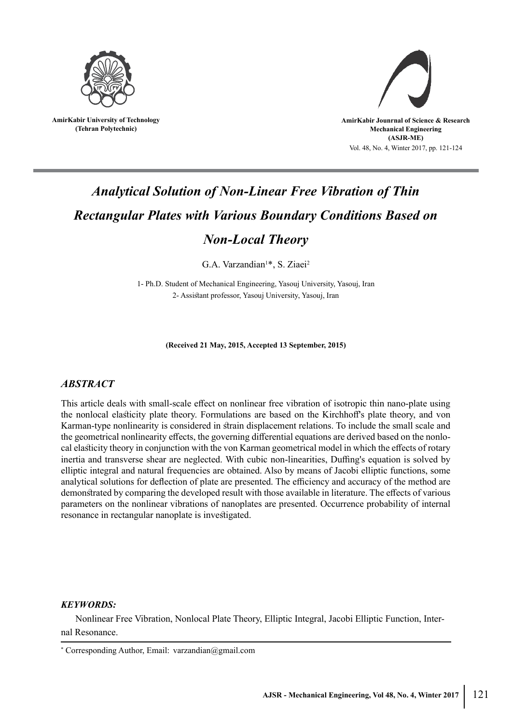

**AmirKabir University of Technology (Tehran Polytechnic)**



# *Analytical Solution of Non-Linear Free Vibration of Thin Rectangular Plates with Various Boundary Conditions Based on Non-Local Theory*

G.A. Varzandian<sup>1\*</sup>, S. Ziaei<sup>2</sup>

1- Ph.D. Student of Mechanical Engineering, Yasouj University, Yasouj, Iran 2- Assistant professor, Yasouj University, Yasouj, Iran

**(Received 21 May, 2015, Accepted 13 September, 2015)**

## *ABSTRACT*

This article deals with small-scale effect on nonlinear free vibration of isotropic thin nano-plate using the nonlocal elasticity plate theory. Formulations are based on the Kirchhoff's plate theory, and von Karman-type nonlinearity is considered in strain displacement relations. To include the small scale and the geometrical nonlinearity effects, the governing differential equations are derived based on the nonlocal elasticity theory in conjunction with the von Karman geometrical model in which the effects of rotary inertia and transverse shear are neglected. With cubic non-linearities, Duffing's equation is solved by elliptic integral and natural frequencies are obtained. Also by means of Jacobi elliptic functions, some analytical solutions for deflection of plate are presented. The efficiency and accuracy of the method are demonstrated by comparing the developed result with those available in literature. The effects of various parameters on the nonlinear vibrations of nanoplates are presented. Occurrence probability of internal resonance in rectangular nanoplate is investigated.

#### *KEYWORDS:*

Nonlinear Free Vibration, Nonlocal Plate Theory, Elliptic Integral, Jacobi Elliptic Function, Internal Resonance.

<sup>\*</sup> Corresponding Author, Email: varzandian@gmail.com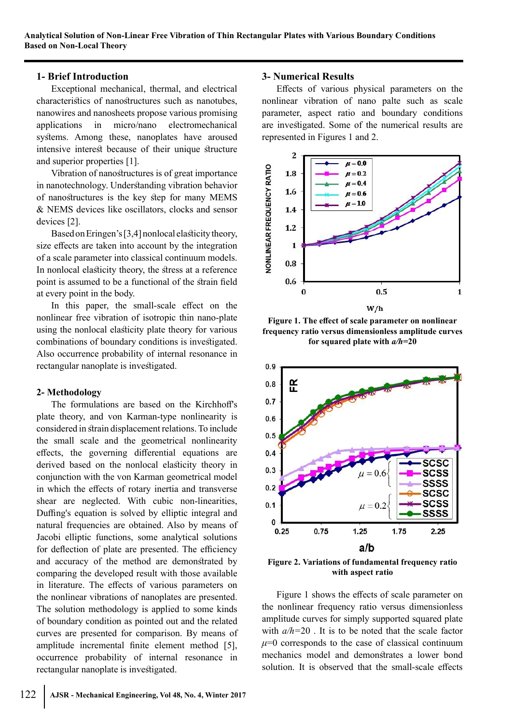## **1- Brief Introduction**

Exceptional mechanical, thermal, and electrical characteristics of nanostructures such as nanotubes, nanowires and nanosheets propose various promising applications in micro/nano electromechanical systems. Among these, nanoplates have aroused intensive interest because of their unique structure and superior properties [1].

Vibration of nanostructures is of great importance<br>
anotechnology. Understanding vibration behavior<br>
nanostructures is the key step for many MEMS<br>
NEMS devices like oscillators, clocks and sensor<br>
ices [2].<br>
Based on Ering in nanotechnology. Understanding vibration behavior of nanostructures is the key step for many MEMS & NEMS devices like oscillators, clocks and sensor devices [2].

Based on Eringen's [3,4] nonlocal elasticity theory, size effects are taken into account by the integration of a scale parameter into classical continuum models. In nonlocal elasticity theory, the stress at a reference point is assumed to be a functional of the strain field at every point in the body.

In this paper, the small-scale effect on the nonlinear free vibration of isotropic thin nano-plate using the nonlocal elasticity plate theory for various combinations of boundary conditions is investigated. Also occurrence probability of internal resonance in rectangular nanoplate is investigated.

## **2- Methodology**

The formulations are based on the Kirchhoff's <sup>0.7</sup> plate theory, and von Karman-type nonlinearity is considered in strain displacement relations. To include the small scale and the geometrical nonlinearity effects, the governing differential equations are derived based on the nonlocal elasticity theory in conjunction with the von Karman geometrical model in which the effects of rotary inertia and transverse shear are neglected. With cubic non-linearities, Duffing's equation is solved by elliptic integral and natural frequencies are obtained. Also by means of Jacobi elliptic functions, some analytical solutions for deflection of plate are presented. The efficiency and accuracy of the method are demonstrated by comparing the developed result with those available in literature. The effects of various parameters on the nonlinear vibrations of nanoplates are presented. The solution methodology is applied to some kinds of boundary condition as pointed out and the related curves are presented for comparison. By means of amplitude incremental finite element method [5], occurrence probability of internal resonance in rectangular nanoplate is investigated.

#### **3- Numerical Results**

Effects of various physical parameters on the nonlinear vibration of nano palte such as scale parameter, aspect ratio and boundary conditions are investigated. Some of the numerical results are represented in Figures 1 and 2.



**Figure 1. The effect of scale parameter on nonlinear frequency ratio versus dimensionless amplitude curves for squared plate with** *a/h***=20**



**Figure 2. Variations of fundamental frequency ratio with aspect ratio**

Figure 1 shows the effects of scale parameter on the nonlinear frequency ratio versus dimensionless amplitude curves for simply supported squared plate with *a/h=*20 . It is to be noted that the scale factor  $\mu$ =0 corresponds to the case of classical continuum mechanics model and demonstrates a lower bond solution. It is observed that the small-scale effects